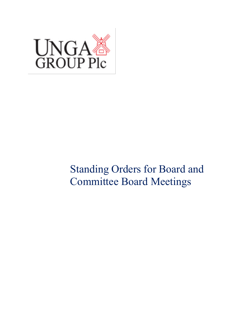

# Standing Orders for Board and Committee Board Meetings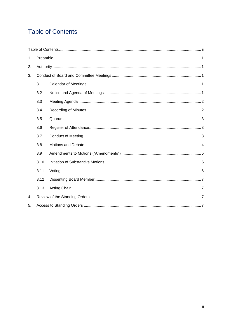# <span id="page-1-0"></span>**Table of Contents**

| 1. |      |  |
|----|------|--|
| 2. |      |  |
| 3. |      |  |
|    | 3.1  |  |
|    | 3.2  |  |
|    | 3.3  |  |
|    | 3.4  |  |
|    | 3.5  |  |
|    | 3.6  |  |
|    | 3.7  |  |
|    | 3.8  |  |
|    | 3.9  |  |
|    | 3.10 |  |
|    | 3.11 |  |
|    | 3.12 |  |
|    | 3.13 |  |
| 4. |      |  |
| 5. |      |  |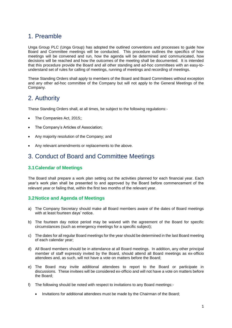# <span id="page-2-0"></span>1. Preamble

Unga Group PLC (Unga Group) has adopted the outlined conventions and processes to guide how Board and Committee meetings will be conducted. This procedure outlines the specifics of how meetings will be convened and run, how the agenda will be determined and communicated, how decisions will be reached and how the outcomes of the meeting shall be documented. It is intended that this procedure provide the Board and all other standing and ad-hoc committees with an easy-tounderstand set of rules for calling of meetings, running of meetings and recording of meetings.

These Standing Orders shall apply to members of the Board and Board Committees without exception and any other ad-hoc committee of the Company but will not apply to the General Meetings of the Company.

# <span id="page-2-1"></span>2. Authority

These Standing Orders shall, at all times, be subject to the following regulations:-

- The Companies Act, 2015;;
- The Company's Articles of Association;
- Any majority resolution of the Company; and
- <span id="page-2-2"></span>Any relevant amendments or replacements to the above.

## 3. Conduct of Board and Committee Meetings

#### <span id="page-2-3"></span>**3.1Calendar of Meetings**

The Board shall prepare a work plan setting out the activities planned for each financial year. Each year's work plan shall be presented to and approved by the Board before commencement of the relevant year or failing that, within the first two months of the relevant year.

#### <span id="page-2-4"></span>**3.2Notice and Agenda of Meetings**

- a) The Company Secretary should make all Board members aware of the dates of Board meetings with at least fourteen days' notice.
- b) The fourteen day notice period may be waived with the agreement of the Board for specific circumstances (such as emergency meetings for a specific subject);
- c) The dates for all regular Board meetings for the year should be determined in the last Board meeting of each calendar year;
- d) All Board members should be in attendance at all Board meetings. In addition, any other principal member of staff expressly invited by the Board, should attend all Board meetings as ex-officio attendees and, as such, will not have a vote on matters before the Board;
- e) The Board may invite additional attendees to report to the Board or participate in discussions. These invitees will be considered ex-officio and will not have a vote on matters before the Board;
- f) The following should be noted with respect to invitations to any Board meetings:-
	- Invitations for additional attendees must be made by the Chairman of the Board;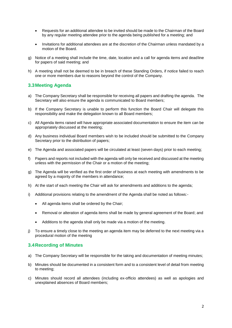- Requests for an additional attendee to be invited should be made to the Chairman of the Board by any regular meeting attendee prior to the agenda being published for a meeting; and
- Invitations for additional attendees are at the discretion of the Chairman unless mandated by a motion of the Board.
- g) Notice of a meeting shall include the time, date, location and a call for agenda items and deadline for papers of said meeting; and
- h) A meeting shall not be deemed to be in breach of these Standing Orders, if notice failed to reach one or more members due to reasons beyond the control of the Company.

#### <span id="page-3-0"></span>**3.3Meeting Agenda**

- a) The Company Secretary shall be responsible for receiving all papers and drafting the agenda. The Secretary will also ensure the agenda is communicated to Board members;
- b) If the Company Secretary is unable to perform this function the Board Chair will delegate this responsibility and make the delegation known to all Board members;
- c) All Agenda items raised will have appropriate associated documentation to ensure the item can be appropriately discussed at the meeting;
- d) Any business individual Board members wish to be included should be submitted to the Company Secretary prior to the distribution of papers;
- e) The Agenda and associated papers will be circulated at least (seven days) prior to each meeting;
- f) Papers and reports not included with the agenda will only be received and discussed at the meeting unless with the permission of the Chair or a motion of the meeting;
- g) The Agenda will be verified as the first order of business at each meeting with amendments to be agreed by a majority of the members in attendance;
- h) At the start of each meeting the Chair will ask for amendments and additions to the agenda;
- i) Additional provisions relating to the amendment of the Agenda shall be noted as follows:-
	- All agenda items shall be ordered by the Chair;
	- Removal or alteration of agenda items shall be made by general agreement of the Board; and
	- Additions to the agenda shall only be made via a motion of the meeting.
- j) To ensure a timely close to the meeting an agenda item may be deferred to the next meeting via a procedural motion of the meeting

#### <span id="page-3-1"></span>**3.4Recording of Minutes**

- a) The Company Secretary will be responsible for the taking and documentation of meeting minutes;
- b) Minutes should be documented in a consistent form and to a consistent level of detail from meeting to meeting;
- c) Minutes should record all attendees (including ex-officio attendees) as well as apologies and unexplained absences of Board members;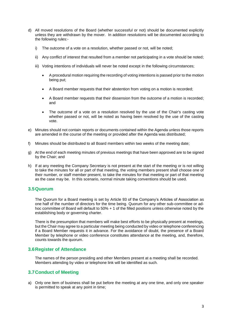- d) All moved resolutions of the Board (whether successful or not) should be documented explicitly unless they are withdrawn by the mover. In addition resolutions will be documented according to the following rules:
	- i) The outcome of a vote on a resolution, whether passed or not, will be noted;
	- ii) Any conflict of interest that resulted from a member not participating in a vote should be noted;
	- iii) Voting intentions of individuals will never be noted except in the following circumstances;
		- A procedural motion requiring the recording of voting intentions is passed prior to the motion being put;
		- A Board member requests that their abstention from voting on a motion is recorded;
		- A Board member requests that their dissension from the outcome of a motion is recorded; and
		- The outcome of a vote on a resolution resolved by the use of the Chair's casting vote whether passed or not, will be noted as having been resolved by the use of the casting vote.
- e) Minutes should not contain reports or documents contained within the Agenda unless those reports are amended in the course of the meeting or provided after the Agenda was distributed;
- f) Minutes should be distributed to all Board members within two weeks of the meeting date;
- g) At the end of each meeting minutes of previous meetings that have been approved are to be signed by the Chair; and
- h) If at any meeting the Company Secretary is not present at the start of the meeting or is not willing to take the minutes for all or part of that meeting, the voting members present shall choose one of their number, or staff member present, to take the minutes for that meeting or part of that meeting as the case may be. In this scenario, normal minute taking conventions should be used.

#### <span id="page-4-0"></span>**3.5Quorum**

The Quorum for a Board meeting is set by Article 93 of the Company's Articles of Association as one half of the number of directors for the time being. Quorum for any other sub-committee or adhoc committee of Board will default to 50% + 1 of the filled positions unless otherwise noted by the establishing body or governing charter.

There is the presumption that members will make best efforts to be physically present at meetings, but the Chair may agree to a particular meeting being conducted by video or telephone conferencing if a Board Member requests it in advance. For the avoidance of doubt, the presence of a Board Member by telephone or video conference constitutes attendance at the meeting, and, therefore, counts towards the quorum.

#### <span id="page-4-1"></span>**3.6Register of Attendance**

The names of the person presiding and other Members present at a meeting shall be recorded. Members attending by video or telephone link will be identified as such.

#### <span id="page-4-2"></span>**3.7Conduct of Meeting**

a) Only one item of business shall be put before the meeting at any one time, and only one speaker is permitted to speak at any point in time;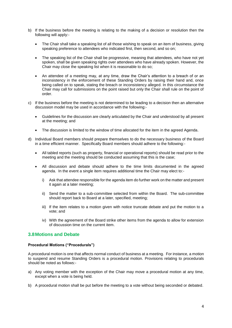- b) If the business before the meeting is relating to the making of a decision or resolution then the following will apply:-
	- The Chair shall take a speaking list of all those wishing to speak on an item of business, giving speaking preference to attendees who indicated first, then second, and so on;
	- The speaking list of the Chair shall be progressive, meaning that attendees, who have not yet spoken, shall be given speaking rights over attendees who have already spoken. However, the Chair may close the speaking list when it is reasonable to do so;
	- An attendee of a meeting may, at any time, draw the Chair's attention to a breach of or an inconsistency in the enforcement of these Standing Orders by raising their hand and, once being called on to speak, stating the breach or inconsistency alleged. In this circumstance the Chair may call for submissions on the point raised but only the Chair shall rule on the point of order.
- c) If the business before the meeting is not determined to be leading to a decision then an alternative discussion model may be used in accordance with the following:-
	- Guidelines for the discussion are clearly articulated by the Chair and understood by all present at the meeting; and
	- The discussion is limited to the window of time allocated for the item in the agreed Agenda.
- d) Individual Board members should prepare themselves to do the necessary business of the Board in a time efficient manner. Specifically Board members should adhere to the following:-
	- All tabled reports (such as property, financial or operational reports) should be read prior to the meeting and the meeting should be conducted assuming that this is the case;
	- All discussion and debate should adhere to the time limits documented in the agreed agenda. In the event a single item requires additional time the Chair may elect to:
		- i) Ask that attendee responsible for the agenda item do further work on the matter and present it again at a later meeting;
		- ii) Send the matter to a sub-committee selected from within the Board. The sub-committee should report back to Board at a later, specified, meeting;
		- iii) If the item relates to a motion given with notice truncate debate and put the motion to a vote; and
		- iv) With the agreement of the Board strike other items from the agenda to allow for extension of discussion time on the current item.

#### <span id="page-5-0"></span>**3.8Motions and Debate**

#### **Procedural Motions ("Procedurals")**

A procedural motion is one that affects normal conduct of business at a meeting. For instance, a motion to suspend and resume Standing Orders is a procedural motion. Provisions relating to procedurals should be noted as follows:-

- a) Any voting member with the exception of the Chair may move a procedural motion at any time, except when a vote is being held.
- b) A procedural motion shall be put before the meeting to a vote without being seconded or debated.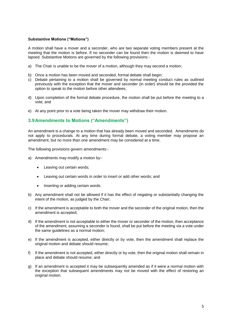#### **Substantive Motions ("Motions")**

A motion shall have a mover and a seconder, who are two separate voting members present at the meeting that the motion is before. If no seconder can be found then the motion is deemed to have lapsed. Substantive Motions are governed by the following provisions:-

- a) The Chair is unable to be the mover of a motion, although they may second a motion;
- b) Once a motion has been moved and seconded, formal debate shall begin;
- c) Debate pertaining to a motion shall be governed by normal meeting conduct rules as outlined previously with the exception that the mover and seconder (in order) should be the provided the option to speak to the motion before other attendees;
- d) Upon completion of the formal debate procedure, the motion shall be put before the meeting to a vote; and
- <span id="page-6-0"></span>e) At any point prior to a vote being taken the mover may withdraw their motion.

#### **3.9Amendments to Motions ("Amendments")**

An amendment is a change to a motion that has already been moved and seconded. Amendments do not apply to procedurals. At any time during formal debate, a voting member may propose an amendment, but no more than one amendment may be considered at a time.

The following provisions govern amendments:-

- a) Amendments may modify a motion by:-
	- Leaving out certain words;
	- Leaving out certain words in order to insert or add other words; and
	- Inserting or adding certain words.
- b) Any amendment shall not be allowed if it has the effect of negating or substantially changing the intent of the motion, as judged by the Chair;
- c) If the amendment is acceptable to both the mover and the seconder of the original motion, then the amendment is accepted;
- d) If the amendment is not acceptable to either the mover or seconder of the motion, then acceptance of the amendment, assuming a seconder is found, shall be put before the meeting via a vote under the same guidelines as a normal motion;
- e) If the amendment is accepted, either directly or by vote, then the amendment shall replace the original motion and debate should resume;
- f) If the amendment is not accepted, either directly or by vote, then the original motion shall remain in place and debate should resume; and
- g) If an amendment is accepted it may be subsequently amended as if it were a normal motion with the exception that subsequent amendments may not be moved with the effect of restoring an original motion.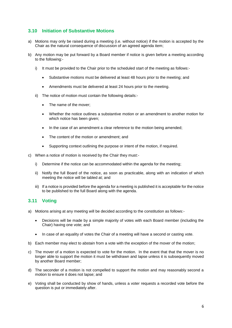#### <span id="page-7-0"></span>**3.10 Initiation of Substantive Motions**

- a) Motions may only be raised during a meeting (i.e. without notice) if the motion is accepted by the Chair as the natural consequence of discussion of an agreed agenda item;
- b) Any motion may be put forward by a Board member if notice is given before a meeting according to the following:
	- i) It must be provided to the Chair prior to the scheduled start of the meeting as follows:-
		- Substantive motions must be delivered at least 48 hours prior to the meeting; and
		- Amendments must be delivered at least 24 hours prior to the meeting.
	- ii) The notice of motion must contain the following details:-
		- The name of the mover;
		- Whether the notice outlines a substantive motion or an amendment to another motion for which notice has been given;
		- In the case of an amendment a clear reference to the motion being amended;
		- The content of the motion or amendment; and
		- Supporting context outlining the purpose or intent of the motion, if required.
- c) When a notice of motion is received by the Chair they must:
	- i) Determine if the notice can be accommodated within the agenda for the meeting;
	- ii) Notify the full Board of the notice, as soon as practicable, along with an indication of which meeting the notice will be tabled at; and
	- iii) If a notice is provided before the agenda for a meeting is published it is acceptable for the notice to be published to the full Board along with the agenda.

#### <span id="page-7-1"></span>**3.11 Voting**

- a) Motions arising at any meeting will be decided according to the constitution as follows:-
	- Decisions will be made by a simple majority of votes with each Board member (including the Chair) having one vote; and
	- In case of an equality of votes the Chair of a meeting will have a second or casting vote.
- b) Each member may elect to abstain from a vote with the exception of the mover of the motion;
- c) The mover of a motion is expected to vote for the motion. In the event that that the mover is no longer able to support the motion it must be withdrawn and lapse unless it is subsequently moved by another Board member;
- d) The seconder of a motion is not compelled to support the motion and may reasonably second a motion to ensure it does not lapse; and
- e) Voting shall be conducted by show of hands, unless a voter requests a recorded vote before the question is put or immediately after.